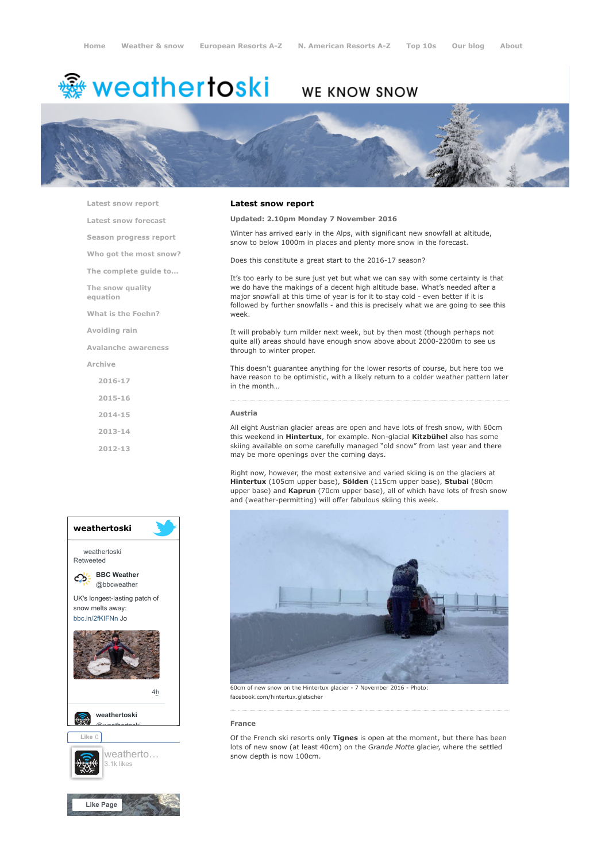# <del>鑾</del> weathertoski

### WE KNOW SNOW



[Latest snow report](https://www.weathertoski.co.uk/weather-snow/latest-snow-report/)

[Latest snow forecast](https://www.weathertoski.co.uk/weather-snow/latest-snow-forecast/)

[Season progress report](https://www.weathertoski.co.uk/weather-snow/season-progress-report/)

[Who got the most snow?](https://www.weathertoski.co.uk/weather-snow/who-got-the-most-snow/)

[The complete guide to...](https://www.weathertoski.co.uk/weather-snow/the-complete-guide-to/)

[The snow quality](https://www.weathertoski.co.uk/weather-snow/the-snow-quality-equation/)

[What is the Foehn?](https://www.weathertoski.co.uk/weather-snow/what-is-the-foehn/)

[Avoiding rain](https://www.weathertoski.co.uk/weather-snow/avoiding-rain/)

equation

[Avalanche awareness](https://www.weathertoski.co.uk/weather-snow/avalanche-awareness/)

[Archive](https://www.weathertoski.co.uk/weather-snow/archive/)

- [2016-17](https://www.weathertoski.co.uk/weather-snow/archive/2016-17/) [2015-16](https://www.weathertoski.co.uk/weather-snow/archive/2015-16/)
- [2014-15](https://www.weathertoski.co.uk/weather-snow/archive/2014-15/)
- [2013-14](https://www.weathertoski.co.uk/weather-snow/archive/2013-14/)
- [2012-13](https://www.weathertoski.co.uk/weather-snow/archive/2012-13/)
- weathertoski weathertoski Retweeted [BBC Weather](https://twitter.com/bbcweather) ය @bbcweather UK's longest-lasting patch of snow melts away: [bbc.in/2fKIFNn](https://t.co/dEQbIDXwfC) Jo [4h](https://twitter.com/bbcweather/status/914797391722795008) [weathertoski](https://twitter.com/weathertoski) <u>Quanthortoski</u> Like 0 [weatherto…](https://www.facebook.com/weathertoski/) 3.1k likes

## [Like Page](https://www.facebook.com/weathertoski/)

#### Latest snow report

#### Updated: 2.10pm Monday 7 November 2016

Winter has arrived early in the Alps, with significant new snowfall at altitude, snow to below 1000m in places and plenty more snow in the forecast.

Does this constitute a great start to the 2016-17 season?

It's too early to be sure just yet but what we can say with some certainty is that we do have the makings of a decent high altitude base. What's needed after a major snowfall at this time of year is for it to stay cold - even better if it is followed by further snowfalls - and this is precisely what we are going to see this week.

It will probably turn milder next week, but by then most (though perhaps not quite all) areas should have enough snow above about 2000-2200m to see us through to winter proper.

This doesn't guarantee anything for the lower resorts of course, but here too we have reason to be optimistic, with a likely return to a colder weather pattern later in the month…

#### Austria

All eight Austrian glacier areas are open and have lots of fresh snow, with 60cm this weekend in Hintertux, for example. Non-glacial Kitzbühel also has some skiing available on some carefully managed "old snow" from last year and there may be more openings over the coming days.

Right now, however, the most extensive and varied skiing is on the glaciers at Hintertux (105cm upper base), Sölden (115cm upper base), Stubai (80cm upper base) and Kaprun (70cm upper base), all of which have lots of fresh snow and (weather-permitting) will offer fabulous skiing this week.



facebook.com/hintertux.gletscher

#### France

Of the French ski resorts only Tignes is open at the moment, but there has been lots of new snow (at least 40cm) on the Grande Motte glacier, where the settled snow depth is now 100cm.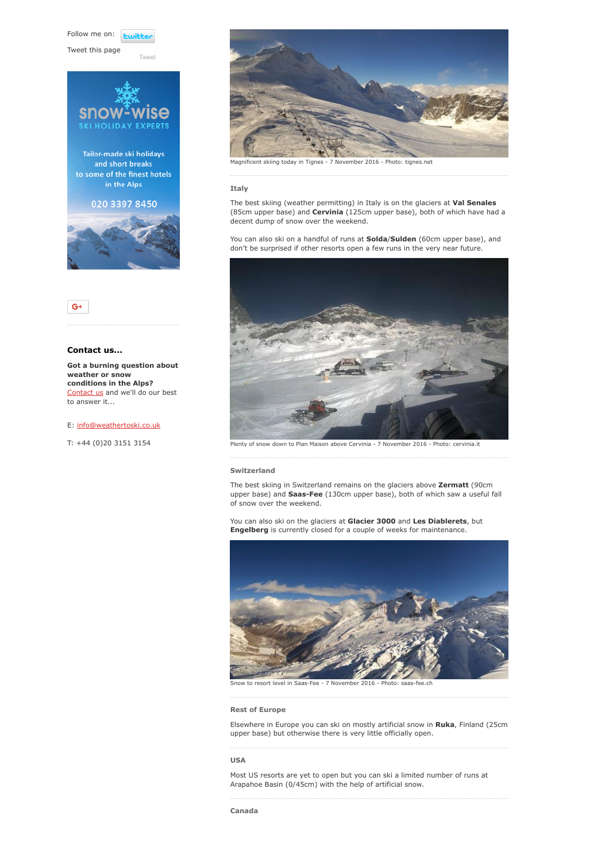Follow me on: **Luitt** 

Tweet this page

[Tweet](https://twitter.com/intent/tweet?original_referer=https%3A%2F%2Fwww.weathertoski.co.uk%2Fweather-snow%2Farchive%2Fsnow-report-07-11-2016%2F&ref_src=twsrc%5Etfw&text=Weather%20to%20ski%20-%20Snow%20report%20-%207%20November%202016&tw_p=tweetbutton&url=https%3A%2F%2Fwww.weathertoski.co.uk%2Fweather-snow%2Farchive%2Fsnow-report-07-11-2016%2F)







#### Contact us...

Got a burning question about weather or snow conditions in the Alps? [Contact us](https://www.weathertoski.co.uk/about-1/contact-us/) and we'll do our best to answer it...

#### E: [info@weathertoski.co.uk](mailto:fraser@weathertoski.co.uk)

T: +44 (0)20 3151 3154



Magnificent skiing today in Tignes - 7 November 2016 - Photo: tignes.net

#### Italy

The best skiing (weather permitting) in Italy is on the glaciers at Val Senales (85cm upper base) and Cervinia (125cm upper base), both of which have had a decent dump of snow over the weekend.

You can also ski on a handful of runs at **Solda/Sulden** (60cm upper base), and don't be surprised if other resorts open a few runs in the very near future.



Plenty of snow down to Plan Maison above Cervinia - 7 November 2016 - Photo: cervinia.it

#### Switzerland

The best skiing in Switzerland remains on the glaciers above Zermatt (90cm upper base) and Saas-Fee (130cm upper base), both of which saw a useful fall of snow over the weekend.

You can also ski on the glaciers at Glacier 3000 and Les Diablerets, but Engelberg is currently closed for a couple of weeks for maintenance.



to resort level in Saas-Fee - 7 November 2016 - Photo: sa

#### Rest of Europe

Elsewhere in Europe you can ski on mostly artificial snow in Ruka, Finland (25cm upper base) but otherwise there is very little officially open.

#### USA

Most US resorts are yet to open but you can ski a limited number of runs at Arapahoe Basin (0/45cm) with the help of artificial snow.